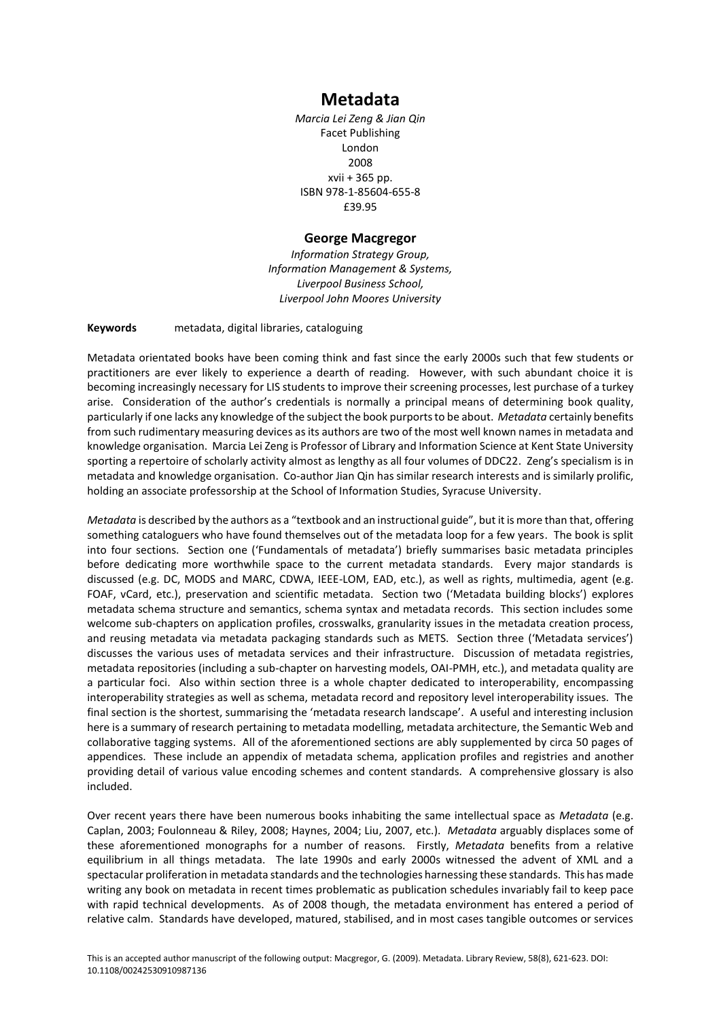## **Metadata**

*Marcia Lei Zeng & Jian Qin* Facet Publishing London 2008 xvii + 365 pp. ISBN 978-1-85604-655-8 £39.95

## **George Macgregor**

*Information Strategy Group, Information Management & Systems, Liverpool Business School, Liverpool John Moores University*

**Keywords** metadata, digital libraries, cataloguing

Metadata orientated books have been coming think and fast since the early 2000s such that few students or practitioners are ever likely to experience a dearth of reading. However, with such abundant choice it is becoming increasingly necessary for LIS students to improve their screening processes, lest purchase of a turkey arise. Consideration of the author's credentials is normally a principal means of determining book quality, particularly if one lacks any knowledge of the subject the book purports to be about. *Metadata* certainly benefits from such rudimentary measuring devices asits authors are two of the most well known names in metadata and knowledge organisation. Marcia Lei Zeng is Professor of Library and Information Science at Kent State University sporting a repertoire of scholarly activity almost as lengthy as all four volumes of DDC22. Zeng's specialism is in metadata and knowledge organisation. Co-author Jian Qin has similar research interests and is similarly prolific, holding an associate professorship at the School of Information Studies, Syracuse University.

*Metadata* is described by the authors as a "textbook and an instructional guide", but it is more than that, offering something cataloguers who have found themselves out of the metadata loop for a few years. The book is split into four sections. Section one ('Fundamentals of metadata') briefly summarises basic metadata principles before dedicating more worthwhile space to the current metadata standards. Every major standards is discussed (e.g. DC, MODS and MARC, CDWA, IEEE-LOM, EAD, etc.), as well as rights, multimedia, agent (e.g. FOAF, vCard, etc.), preservation and scientific metadata. Section two ('Metadata building blocks') explores metadata schema structure and semantics, schema syntax and metadata records. This section includes some welcome sub-chapters on application profiles, crosswalks, granularity issues in the metadata creation process, and reusing metadata via metadata packaging standards such as METS. Section three ('Metadata services') discusses the various uses of metadata services and their infrastructure. Discussion of metadata registries, metadata repositories (including a sub-chapter on harvesting models, OAI-PMH, etc.), and metadata quality are a particular foci. Also within section three is a whole chapter dedicated to interoperability, encompassing interoperability strategies as well as schema, metadata record and repository level interoperability issues. The final section is the shortest, summarising the 'metadata research landscape'. A useful and interesting inclusion here is a summary of research pertaining to metadata modelling, metadata architecture, the Semantic Web and collaborative tagging systems. All of the aforementioned sections are ably supplemented by circa 50 pages of appendices. These include an appendix of metadata schema, application profiles and registries and another providing detail of various value encoding schemes and content standards. A comprehensive glossary is also included.

Over recent years there have been numerous books inhabiting the same intellectual space as *Metadata* (e.g. Caplan, 2003; Foulonneau & Riley, 2008; Haynes, 2004; Liu, 2007, etc.). *Metadata* arguably displaces some of these aforementioned monographs for a number of reasons. Firstly, *Metadata* benefits from a relative equilibrium in all things metadata. The late 1990s and early 2000s witnessed the advent of XML and a spectacular proliferation in metadata standards and the technologies harnessing these standards. This has made writing any book on metadata in recent times problematic as publication schedules invariably fail to keep pace with rapid technical developments. As of 2008 though, the metadata environment has entered a period of relative calm. Standards have developed, matured, stabilised, and in most cases tangible outcomes or services